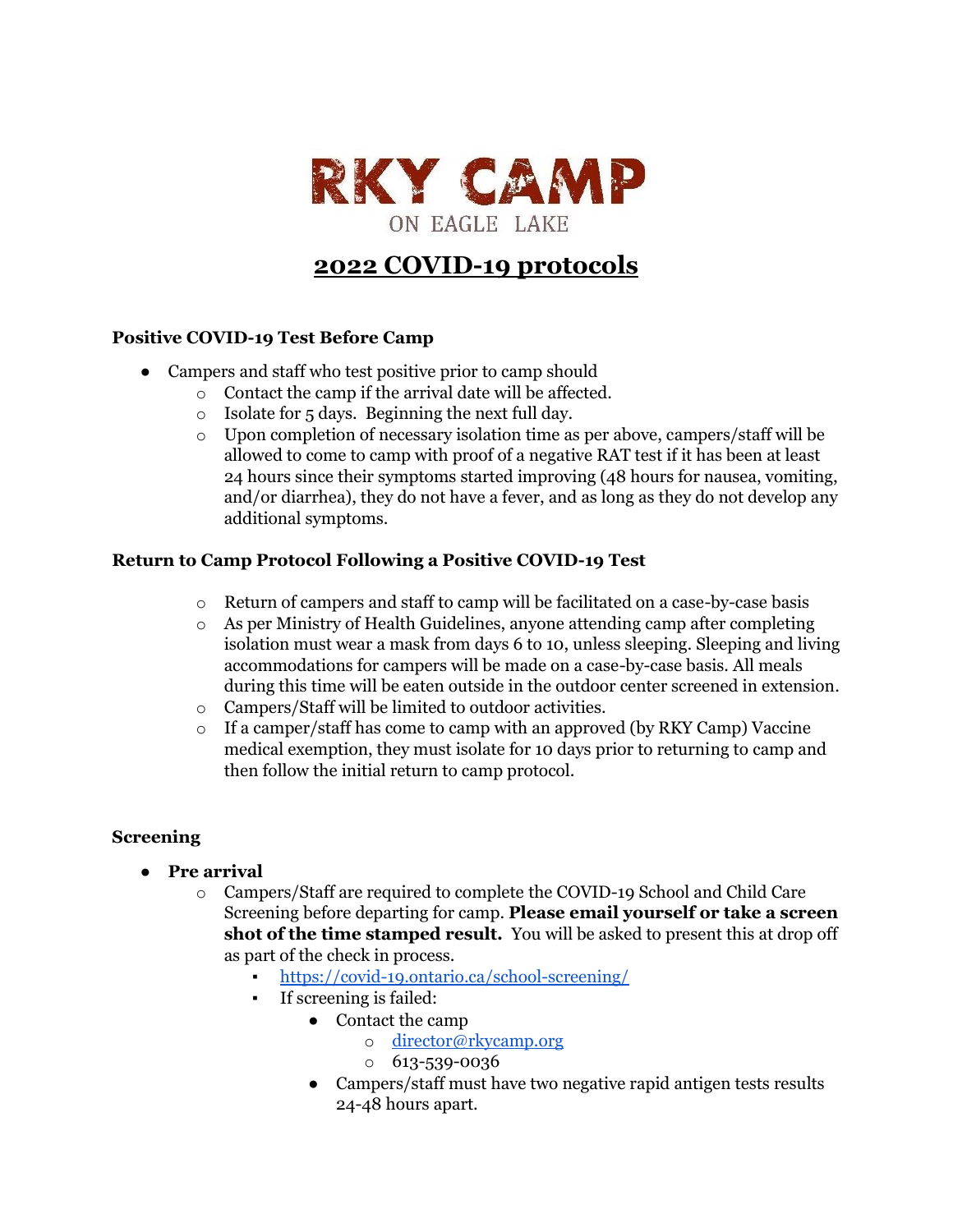

# **2022 COVID-19 protocols**

## **Positive COVID-19 Test Before Camp**

- Campers and staff who test positive prior to camp should
	- o Contact the camp if the arrival date will be affected.
	- o Isolate for 5 days. Beginning the next full day.
	- $\circ$  Upon completion of necessary isolation time as per above, campers/staff will be allowed to come to camp with proof of a negative RAT test if it has been at least 24 hours since their symptoms started improving (48 hours for nausea, vomiting, and/or diarrhea), they do not have a fever, and as long as they do not develop any additional symptoms.

#### **Return to Camp Protocol Following a Positive COVID-19 Test**

- o Return of campers and staff to camp will be facilitated on a case-by-case basis
- $\circ$  As per Ministry of Health Guidelines, anyone attending camp after completing isolation must wear a mask from days 6 to 10, unless sleeping. Sleeping and living accommodations for campers will be made on a case-by-case basis. All meals during this time will be eaten outside in the outdoor center screened in extension.
- o Campers/Staff will be limited to outdoor activities.
- $\circ$  If a camper/staff has come to camp with an approved (by RKY Camp) Vaccine medical exemption, they must isolate for 10 days prior to returning to camp and then follow the initial return to camp protocol.

#### **Screening**

- **Pre arrival**
	- o Campers/Staff are required to complete the COVID-19 School and Child Care Screening before departing for camp. **Please email yourself or take a screen shot of the time stamped result.** You will be asked to present this at drop off as part of the check in process.
		- <https://covid-19.ontario.ca/school-screening/>
			- If screening is failed:
				- Contact the camp
					- o [director@rkycamp.org](mailto:director@rkycamp.org)
					- o 613-539-0036
				- Campers/staff must have two negative rapid antigen tests results 24-48 hours apart.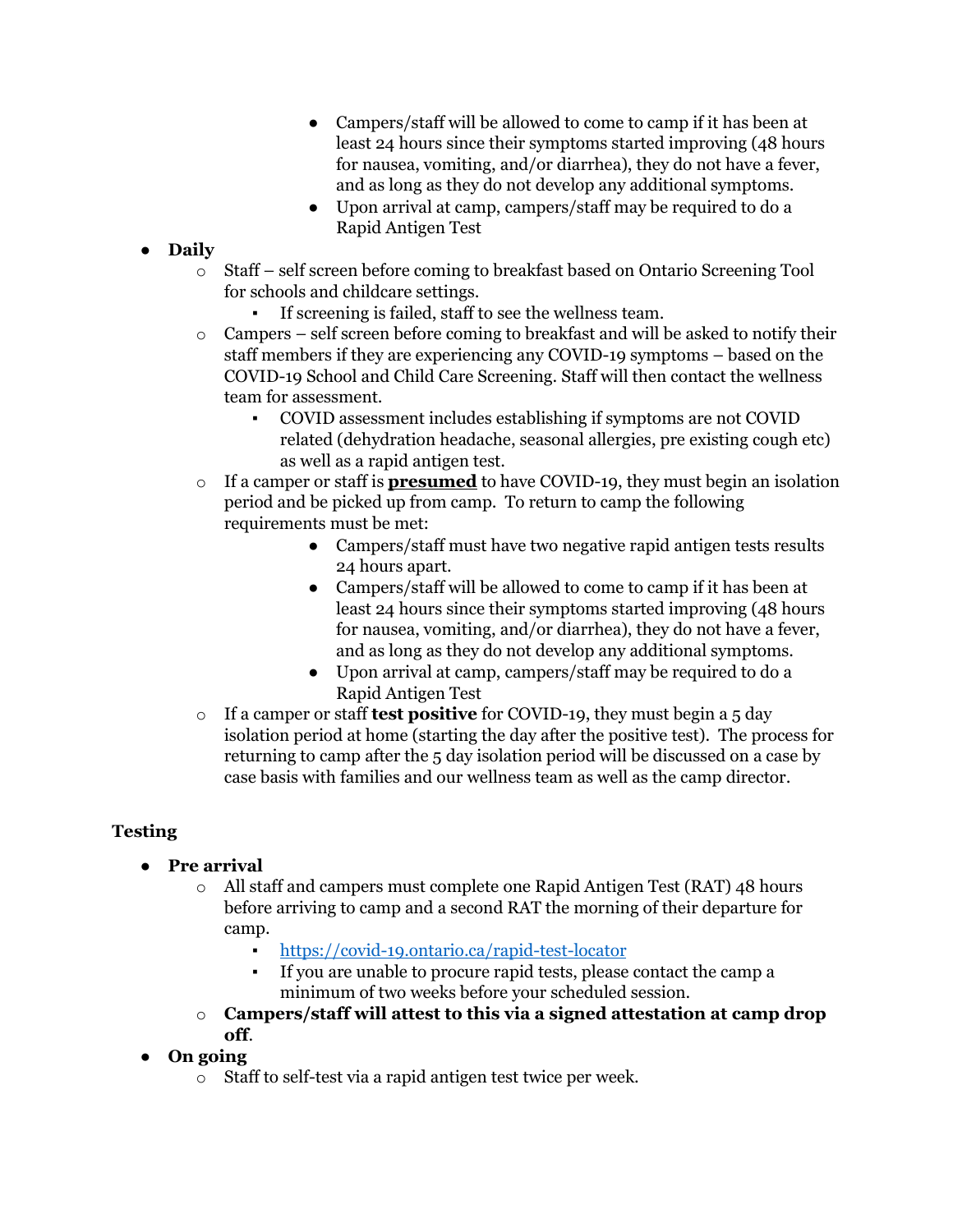- Campers/staff will be allowed to come to camp if it has been at least 24 hours since their symptoms started improving (48 hours for nausea, vomiting, and/or diarrhea), they do not have a fever, and as long as they do not develop any additional symptoms.
- Upon arrival at camp, campers/staff may be required to do a Rapid Antigen Test
- **Daily**
	- o Staff self screen before coming to breakfast based on Ontario Screening Tool for schools and childcare settings.
		- If screening is failed, staff to see the wellness team.
	- o Campers self screen before coming to breakfast and will be asked to notify their staff members if they are experiencing any COVID-19 symptoms – based on the COVID-19 School and Child Care Screening. Staff will then contact the wellness team for assessment.
		- COVID assessment includes establishing if symptoms are not COVID related (dehydration headache, seasonal allergies, pre existing cough etc) as well as a rapid antigen test.
	- o If a camper or staff is **presumed** to have COVID-19, they must begin an isolation period and be picked up from camp. To return to camp the following requirements must be met:
		- Campers/staff must have two negative rapid antigen tests results 24 hours apart.
		- Campers/staff will be allowed to come to camp if it has been at least 24 hours since their symptoms started improving (48 hours for nausea, vomiting, and/or diarrhea), they do not have a fever, and as long as they do not develop any additional symptoms.
		- Upon arrival at camp, campers/staff may be required to do a Rapid Antigen Test
	- o If a camper or staff **test positive** for COVID-19, they must begin a 5 day isolation period at home (starting the day after the positive test). The process for returning to camp after the 5 day isolation period will be discussed on a case by case basis with families and our wellness team as well as the camp director.

## **Testing**

- **Pre arrival**
	- o All staff and campers must complete one Rapid Antigen Test (RAT) 48 hours before arriving to camp and a second RAT the morning of their departure for camp.
		- <https://covid-19.ontario.ca/rapid-test-locator>
		- If you are unable to procure rapid tests, please contact the camp a minimum of two weeks before your scheduled session.
	- o **Campers/staff will attest to this via a signed attestation at camp drop off**.
- **On going**
	- o Staff to self-test via a rapid antigen test twice per week.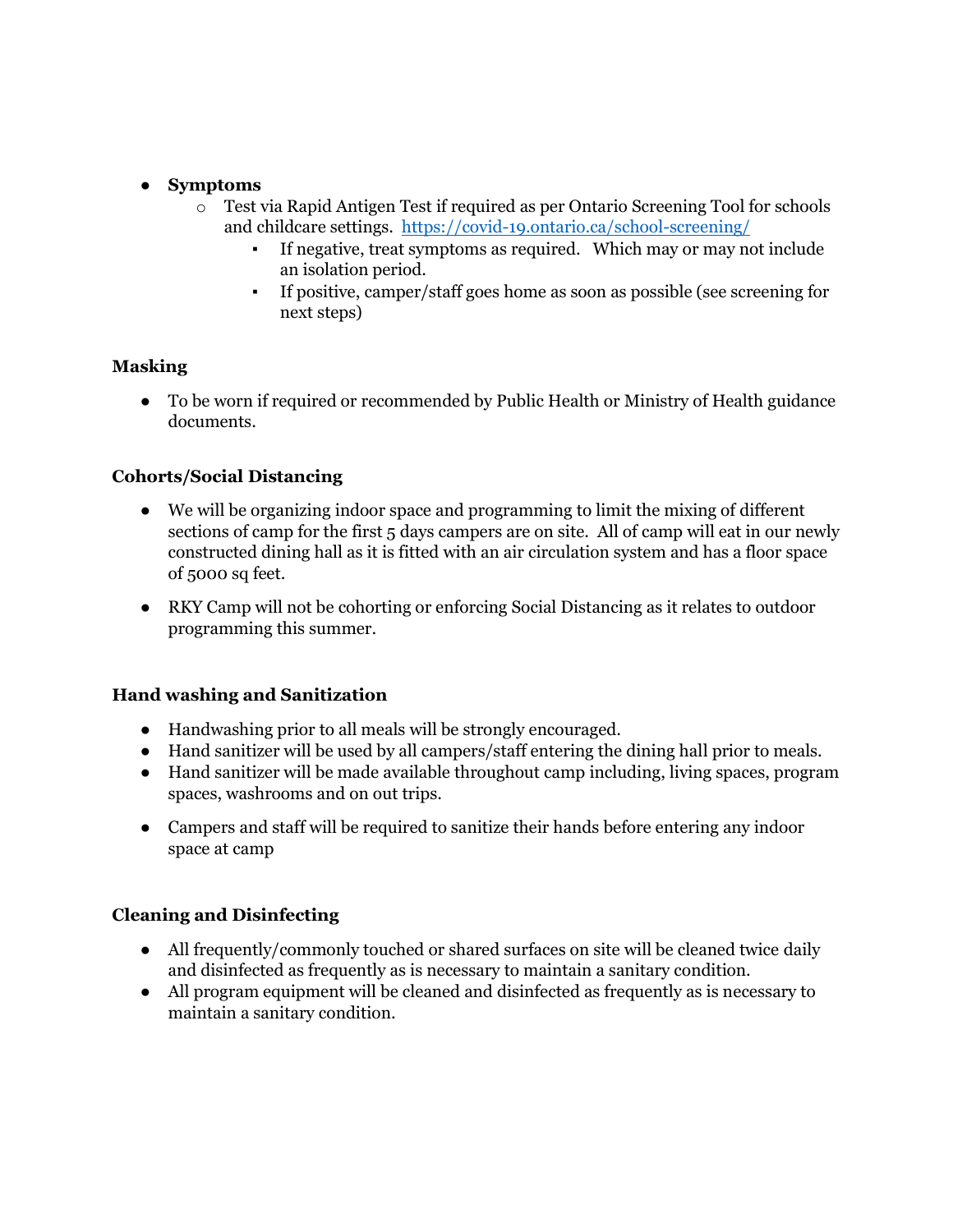### ● **Symptoms**

- o Test via Rapid Antigen Test if required as per Ontario Screening Tool for schools and childcare settings. <https://covid-19.ontario.ca/school-screening/>
	- If negative, treat symptoms as required. Which may or may not include an isolation period.
	- If positive, camper/staff goes home as soon as possible (see screening for next steps)

#### **Masking**

● To be worn if required or recommended by Public Health or Ministry of Health guidance documents.

#### **Cohorts/Social Distancing**

- We will be organizing indoor space and programming to limit the mixing of different sections of camp for the first 5 days campers are on site. All of camp will eat in our newly constructed dining hall as it is fitted with an air circulation system and has a floor space of 5000 sq feet.
- RKY Camp will not be cohorting or enforcing Social Distancing as it relates to outdoor programming this summer.

#### **Hand washing and Sanitization**

- Handwashing prior to all meals will be strongly encouraged.
- Hand sanitizer will be used by all campers/staff entering the dining hall prior to meals.
- Hand sanitizer will be made available throughout camp including, living spaces, program spaces, washrooms and on out trips.
- Campers and staff will be required to sanitize their hands before entering any indoor space at camp

#### **Cleaning and Disinfecting**

- All frequently/commonly touched or shared surfaces on site will be cleaned twice daily and disinfected as frequently as is necessary to maintain a sanitary condition.
- All program equipment will be cleaned and disinfected as frequently as is necessary to maintain a sanitary condition.